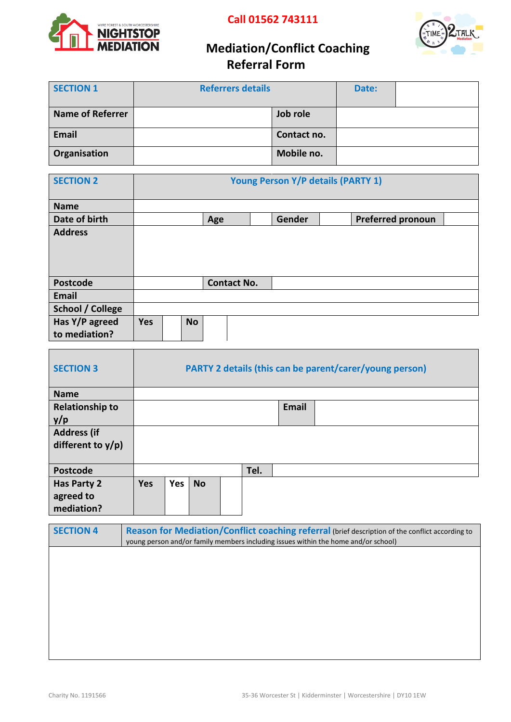

 **Call 01562 743111**



# **Mediation/Conflict Coaching Referral Form**

| <b>SECTION 1</b>        | <b>Referrers details</b> | Date:       |  |  |
|-------------------------|--------------------------|-------------|--|--|
|                         |                          |             |  |  |
| <b>Name of Referrer</b> |                          | Job role    |  |  |
| <b>Email</b>            |                          | Contact no. |  |  |
| Organisation            |                          | Mobile no.  |  |  |

| <b>SECTION 2</b>                | <b>Young Person Y/P details (PARTY 1)</b> |  |           |                    |  |        |                          |  |
|---------------------------------|-------------------------------------------|--|-----------|--------------------|--|--------|--------------------------|--|
| <b>Name</b>                     |                                           |  |           |                    |  |        |                          |  |
| Date of birth                   |                                           |  |           | Age                |  | Gender | <b>Preferred pronoun</b> |  |
| <b>Address</b>                  |                                           |  |           |                    |  |        |                          |  |
| <b>Postcode</b>                 |                                           |  |           | <b>Contact No.</b> |  |        |                          |  |
| Email                           |                                           |  |           |                    |  |        |                          |  |
| <b>School / College</b>         |                                           |  |           |                    |  |        |                          |  |
| Has Y/P agreed<br>to mediation? | <b>Yes</b>                                |  | <b>No</b> |                    |  |        |                          |  |

| <b>SECTION 3</b>       | <b>PARTY 2 details (this can be parent/carer/young person)</b> |            |           |  |      |              |  |
|------------------------|----------------------------------------------------------------|------------|-----------|--|------|--------------|--|
| <b>Name</b>            |                                                                |            |           |  |      |              |  |
| <b>Relationship to</b> |                                                                |            |           |  |      | <b>Email</b> |  |
| y/p                    |                                                                |            |           |  |      |              |  |
| <b>Address (if</b>     |                                                                |            |           |  |      |              |  |
| different to $y/p$ )   |                                                                |            |           |  |      |              |  |
|                        |                                                                |            |           |  |      |              |  |
| <b>Postcode</b>        |                                                                |            |           |  | Tel. |              |  |
| Has Party 2            | <b>Yes</b>                                                     | <b>Yes</b> | <b>No</b> |  |      |              |  |
| agreed to              |                                                                |            |           |  |      |              |  |
| mediation?             |                                                                |            |           |  |      |              |  |

| <b>SECTION 4</b> | Reason for Mediation/Conflict coaching referral (brief description of the conflict according to<br>young person and/or family members including issues within the home and/or school) |
|------------------|---------------------------------------------------------------------------------------------------------------------------------------------------------------------------------------|
|                  |                                                                                                                                                                                       |
|                  |                                                                                                                                                                                       |
|                  |                                                                                                                                                                                       |
|                  |                                                                                                                                                                                       |
|                  |                                                                                                                                                                                       |
|                  |                                                                                                                                                                                       |
|                  |                                                                                                                                                                                       |
|                  |                                                                                                                                                                                       |
|                  |                                                                                                                                                                                       |
|                  |                                                                                                                                                                                       |
|                  |                                                                                                                                                                                       |
|                  |                                                                                                                                                                                       |
|                  |                                                                                                                                                                                       |
|                  |                                                                                                                                                                                       |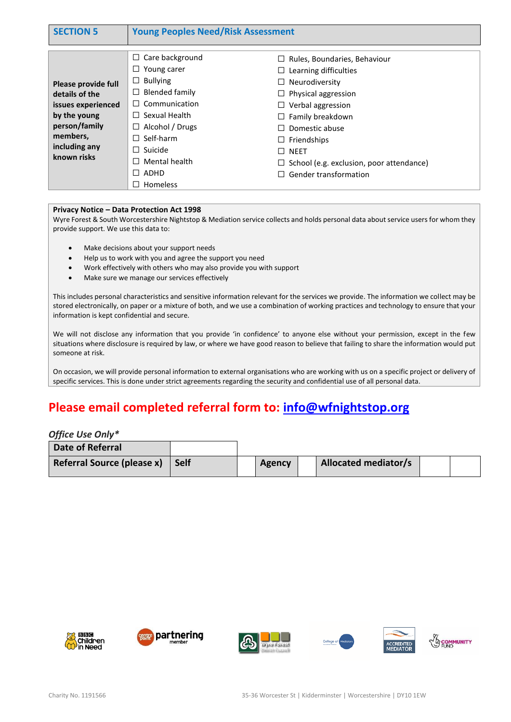| <b>SECTION 5</b>                                                                                                                         | <b>Young Peoples Need/Risk Assessment</b>                                                                                                                                                                                  |                                                                                                                                                                                                                                                                                                                  |  |  |  |
|------------------------------------------------------------------------------------------------------------------------------------------|----------------------------------------------------------------------------------------------------------------------------------------------------------------------------------------------------------------------------|------------------------------------------------------------------------------------------------------------------------------------------------------------------------------------------------------------------------------------------------------------------------------------------------------------------|--|--|--|
| Please provide full<br>details of the<br>issues experienced<br>by the young<br>person/family<br>members,<br>including any<br>known risks | Care background<br>⊔<br>Young carer<br><b>Bullying</b><br>⊔<br>Blended family<br>⊔<br>Communication<br>$\perp$<br>Sexual Health<br>$\perp$<br>Alcohol / Drugs<br>Self-harm<br>Suicide<br>Mental health<br>ADHD<br>Homeless | $\Box$ Rules, Boundaries, Behaviour<br>$\Box$ Learning difficulties<br>$\Box$ Neurodiversity<br>Physical aggression<br>$\Box$ Verbal aggression<br>$\Box$ Family breakdown<br>Domestic abuse<br>$\Box$ Friendships<br>$\square$ NEET<br>$\Box$ School (e.g. exclusion, poor attendance)<br>Gender transformation |  |  |  |

#### **Privacy Notice – Data Protection Act 1998**

Wyre Forest & South Worcestershire Nightstop & Mediation service collects and holds personal data about service users for whom they provide support. We use this data to:

- Make decisions about your support needs
- Help us to work with you and agree the support you need
- Work effectively with others who may also provide you with support
- Make sure we manage our services effectively

This includes personal characteristics and sensitive information relevant for the services we provide. The information we collect may be stored electronically, on paper or a mixture of both, and we use a combination of working practices and technology to ensure that your information is kept confidential and secure.

We will not disclose any information that you provide 'in confidence' to anyone else without your permission, except in the few situations where disclosure is required by law, or where we have good reason to believe that failing to share the information would put someone at risk.

On occasion, we will provide personal information to external organisations who are working with us on a specific project or delivery of specific services. This is done under strict agreements regarding the security and confidential use of all personal data.

## **Please email completed referral form to: [info@wfnightstop.org](mailto:info@wfnightstop.org)**

#### *Office Use Only\**

| Date of Referral           |             |               |                             |  |
|----------------------------|-------------|---------------|-----------------------------|--|
| Referral Source (please x) | <b>Self</b> | <b>Agency</b> | <b>Allocated mediator/s</b> |  |









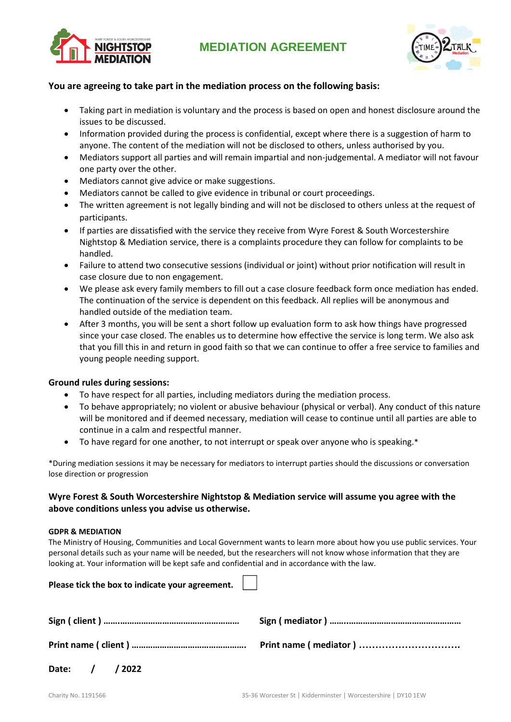



### **You are agreeing to take part in the mediation process on the following basis:**

- Taking part in mediation is voluntary and the process is based on open and honest disclosure around the issues to be discussed.
- Information provided during the process is confidential, except where there is a suggestion of harm to anyone. The content of the mediation will not be disclosed to others, unless authorised by you.
- Mediators support all parties and will remain impartial and non-judgemental. A mediator will not favour one party over the other.
- Mediators cannot give advice or make suggestions.
- Mediators cannot be called to give evidence in tribunal or court proceedings.
- The written agreement is not legally binding and will not be disclosed to others unless at the request of participants.
- If parties are dissatisfied with the service they receive from Wyre Forest & South Worcestershire Nightstop & Mediation service, there is a complaints procedure they can follow for complaints to be handled.
- Failure to attend two consecutive sessions (individual or joint) without prior notification will result in case closure due to non engagement.
- We please ask every family members to fill out a case closure feedback form once mediation has ended. The continuation of the service is dependent on this feedback. All replies will be anonymous and handled outside of the mediation team.
- After 3 months, you will be sent a short follow up evaluation form to ask how things have progressed since your case closed. The enables us to determine how effective the service is long term. We also ask that you fill this in and return in good faith so that we can continue to offer a free service to families and young people needing support.

#### **Ground rules during sessions:**

- To have respect for all parties, including mediators during the mediation process.
- To behave appropriately; no violent or abusive behaviour (physical or verbal). Any conduct of this nature will be monitored and if deemed necessary, mediation will cease to continue until all parties are able to continue in a calm and respectful manner.
- To have regard for one another, to not interrupt or speak over anyone who is speaking.\*

\*During mediation sessions it may be necessary for mediators to interrupt parties should the discussions or conversation lose direction or progression

### **Wyre Forest & South Worcestershire Nightstop & Mediation service will assume you agree with the above conditions unless you advise us otherwise.**

#### **GDPR & MEDIATION**

The Ministry of Housing, Communities and Local Government wants to learn more about how you use public services. Your personal details such as your name will be needed, but the researchers will not know whose information that they are looking at. Your information will be kept safe and confidential and in accordance with the law.

| Please tick the box to indicate your agreement. $\Box$ |  |
|--------------------------------------------------------|--|
|                                                        |  |
|                                                        |  |
| Date: / / 2022                                         |  |